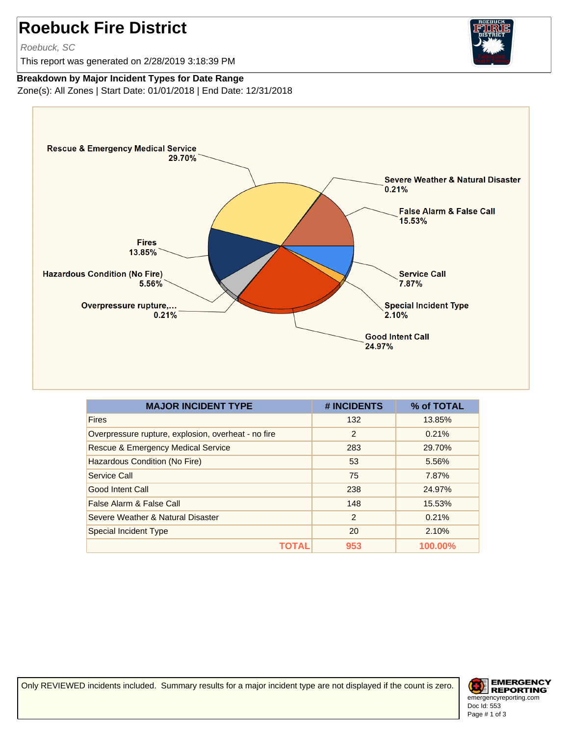## **Roebuck Fire District**

Roebuck, SC

This report was generated on 2/28/2019 3:18:39 PM



## **Breakdown by Major Incident Types for Date Range**

Zone(s): All Zones | Start Date: 01/01/2018 | End Date: 12/31/2018



| <b>MAJOR INCIDENT TYPE</b>                          | # INCIDENTS   | % of TOTAL |
|-----------------------------------------------------|---------------|------------|
| <b>Fires</b>                                        | 132           | 13.85%     |
| Overpressure rupture, explosion, overheat - no fire | 2             | 0.21%      |
| <b>Rescue &amp; Emergency Medical Service</b>       | 283           | 29.70%     |
| Hazardous Condition (No Fire)                       | 53            | 5.56%      |
| Service Call                                        | 75            | 7.87%      |
| <b>Good Intent Call</b>                             | 238           | 24.97%     |
| False Alarm & False Call                            | 148           | 15.53%     |
| Severe Weather & Natural Disaster                   | $\mathcal{P}$ | 0.21%      |
| Special Incident Type                               | 20            | 2.10%      |
| TOTAI                                               | 953           | 100.00%    |

Only REVIEWED incidents included. Summary results for a major incident type are not displayed if the count is zero.

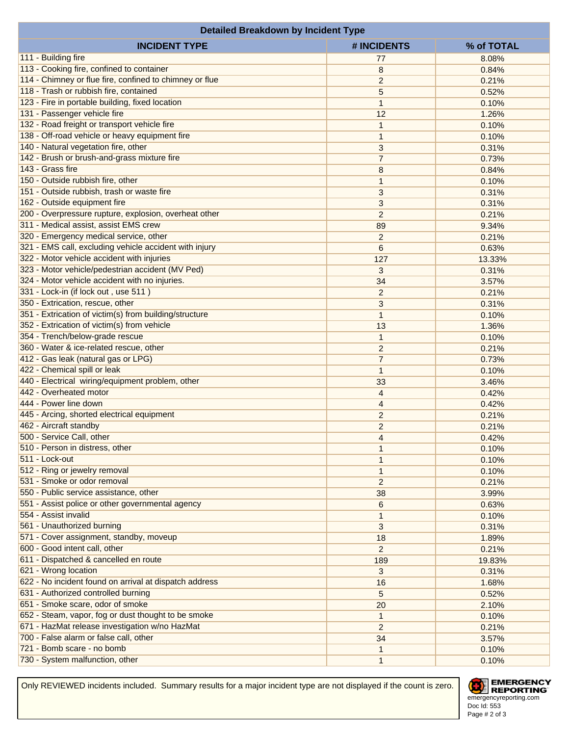| <b>Detailed Breakdown by Incident Type</b>              |                                  |                |  |  |
|---------------------------------------------------------|----------------------------------|----------------|--|--|
| <b>INCIDENT TYPE</b>                                    | # INCIDENTS                      | % of TOTAL     |  |  |
| 111 - Building fire                                     | 77                               | 8.08%          |  |  |
| 113 - Cooking fire, confined to container               | 8                                | 0.84%          |  |  |
| 114 - Chimney or flue fire, confined to chimney or flue | $\overline{2}$                   | 0.21%          |  |  |
| 118 - Trash or rubbish fire, contained                  | 5                                | 0.52%          |  |  |
| 123 - Fire in portable building, fixed location         | 1                                | 0.10%          |  |  |
| 131 - Passenger vehicle fire                            | 12                               | 1.26%          |  |  |
| 132 - Road freight or transport vehicle fire            | 1                                | 0.10%          |  |  |
| 138 - Off-road vehicle or heavy equipment fire          | 1                                | 0.10%          |  |  |
| 140 - Natural vegetation fire, other                    | 3                                | 0.31%          |  |  |
| 142 - Brush or brush-and-grass mixture fire             | $\overline{7}$                   | 0.73%          |  |  |
| 143 - Grass fire                                        | 8                                | 0.84%          |  |  |
| 150 - Outside rubbish fire, other                       | 1                                | 0.10%          |  |  |
| 151 - Outside rubbish, trash or waste fire              | 3                                | 0.31%          |  |  |
| 162 - Outside equipment fire                            | 3                                | 0.31%          |  |  |
| 200 - Overpressure rupture, explosion, overheat other   | $\overline{2}$                   | 0.21%          |  |  |
| 311 - Medical assist, assist EMS crew                   | 89                               | 9.34%          |  |  |
| 320 - Emergency medical service, other                  | $\overline{c}$                   | 0.21%          |  |  |
| 321 - EMS call, excluding vehicle accident with injury  | 6                                | 0.63%          |  |  |
| 322 - Motor vehicle accident with injuries              | 127                              | 13.33%         |  |  |
| 323 - Motor vehicle/pedestrian accident (MV Ped)        | 3                                | 0.31%          |  |  |
| 324 - Motor vehicle accident with no injuries.          | 34                               | 3.57%          |  |  |
| 331 - Lock-in (if lock out, use 511)                    | $\overline{c}$                   | 0.21%          |  |  |
| 350 - Extrication, rescue, other                        |                                  | 0.31%          |  |  |
| 351 - Extrication of victim(s) from building/structure  | 3<br>1                           | 0.10%          |  |  |
| 352 - Extrication of victim(s) from vehicle             | 13                               | 1.36%          |  |  |
| 354 - Trench/below-grade rescue                         |                                  |                |  |  |
| 360 - Water & ice-related rescue, other                 | 1                                | 0.10%<br>0.21% |  |  |
| 412 - Gas leak (natural gas or LPG)                     | $\overline{c}$<br>$\overline{7}$ |                |  |  |
| 422 - Chemical spill or leak                            |                                  | 0.73%          |  |  |
| 440 - Electrical wiring/equipment problem, other        | 1<br>33                          | 0.10%          |  |  |
| 442 - Overheated motor                                  | 4                                | 3.46%<br>0.42% |  |  |
| 444 - Power line down                                   |                                  |                |  |  |
| 445 - Arcing, shorted electrical equipment              | 4                                | 0.42%          |  |  |
| 462 - Aircraft standby                                  | $\overline{2}$                   | 0.21%          |  |  |
| 500 - Service Call, other                               | $\overline{c}$                   | 0.21%          |  |  |
| 510 - Person in distress, other                         | 4                                | 0.42%          |  |  |
| 511 - Lock-out                                          | 1                                | 0.10%          |  |  |
| 512 - Ring or jewelry removal                           | 1                                | 0.10%          |  |  |
| 531 - Smoke or odor removal                             | 1                                | 0.10%          |  |  |
| 550 - Public service assistance, other                  | $\overline{c}$                   | 0.21%          |  |  |
| 551 - Assist police or other governmental agency        | 38                               | 3.99%          |  |  |
| 554 - Assist invalid                                    | 6                                | 0.63%          |  |  |
| 561 - Unauthorized burning                              | 1                                | 0.10%          |  |  |
| 571 - Cover assignment, standby, moveup                 | 3                                | 0.31%          |  |  |
| 600 - Good intent call, other                           | 18                               | 1.89%          |  |  |
|                                                         | $\overline{2}$                   | 0.21%          |  |  |
| 611 - Dispatched & cancelled en route                   | 189                              | 19.83%         |  |  |
| 621 - Wrong location                                    | 3                                | 0.31%          |  |  |
| 622 - No incident found on arrival at dispatch address  | 16                               | 1.68%          |  |  |
| 631 - Authorized controlled burning                     | 5                                | 0.52%          |  |  |
| 651 - Smoke scare, odor of smoke                        | 20                               | 2.10%          |  |  |
| 652 - Steam, vapor, fog or dust thought to be smoke     | $\mathbf{1}$                     | 0.10%          |  |  |
| 671 - HazMat release investigation w/no HazMat          | $\overline{2}$                   | 0.21%          |  |  |
| 700 - False alarm or false call, other                  | 34                               | 3.57%          |  |  |
| 721 - Bomb scare - no bomb                              | 1                                | 0.10%          |  |  |
| 730 - System malfunction, other                         | 1                                | 0.10%          |  |  |

Only REVIEWED incidents included. Summary results for a major incident type are not displayed if the count is zero.